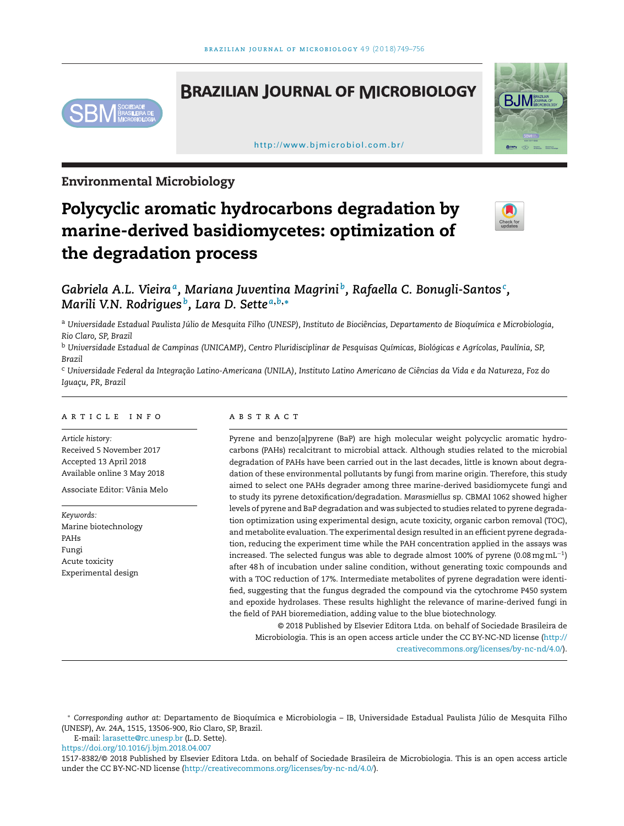# **BRAZILIAN JOURNAL OF MICROBIOLOGY**



[h ttp://www.bjmicrobiol.com.br/](http://www.bjmicrobiol.com.br/)



# **Environmental Microbiology**

# **Polycyclic aromatic hydrocarbons degradation by marine-derived basidiomycetes: optimization of the degradation process**



# *Gabriela A.L. Vieiraa, Mariana Juventina Magrini b, Rafaella C. Bonugli-Santos<sup>c</sup> , Marili V.N. Rodrigues b, Lara D. Sette <sup>a</sup>***,***b***,<sup>∗</sup>**

a Universidade Estadual Paulista Júlio de Mesquita Filho (UNESP), Instituto de Biociências, Departamento de Bioquímica e Microbiologia, *Rio Claro, SP, Brazil*

<sup>b</sup> Universidade Estadual de Campinas (UNICAMP), Centro Pluridisciplinar de Pesquisas Químicas, Biológicas e Agrícolas, Paulínia, SP, *Brazil*

c Universidade Federal da Integração Latino-Americana (UNILA), Instituto Latino Americano de Ciências da Vida e da Natureza, Foz do *Iguac¸u, PR, Brazil*

#### ARTICLE INFO

*Article history:* Received 5 November 2017 Accepted 13 April 2018 Available online 3 May 2018

Associate Editor: Vânia Melo

*Keywords:* Marine biotechnology PAHs Fungi Acute toxicity Experimental design

### A B S T R A C T

Pyrene and benzo[a]pyrene (BaP) are high molecular weight polycyclic aromatic hydrocarbons (PAHs) recalcitrant to microbial attack. Although studies related to the microbial degradation of PAHs have been carried out in the last decades, little is known about degradation of these environmental pollutants by fungi from marine origin. Therefore, this study aimed to select one PAHs degrader among three marine-derived basidiomycete fungi and to study its pyrene detoxification/degradation. *Marasmiellus* sp. CBMAI 1062 showed higher levels of pyrene and BaP degradation and was subjected to studies related to pyrene degradation optimization using experimental design, acute toxicity, organic carbon removal (TOC), and metabolite evaluation. The experimental design resulted in an efficient pyrene degradation, reducing the experiment time while the PAH concentration applied in the assays was increased. The selected fungus was able to degrade almost 100% of pyrene (0.08 mg mL<sup>-1</sup>) after 48h of incubation under saline condition, without generating toxic compounds and with a TOC reduction of 17%. Intermediate metabolites of pyrene degradation were identified, suggesting that the fungus degraded the compound via the cytochrome P450 system and epoxide hydrolases. These results highlight the relevance of marine-derived fungi in the field of PAH bioremediation, adding value to the blue biotechnology.

© 2018 Published by Elsevier Editora Ltda. on behalf of Sociedade Brasileira de Microbiologia. This is an open access article under the CC BY-NC-ND license [\(http://](http://creativecommons.org/licenses/by-nc-nd/4.0/) [creativecommons.org/licenses/by-nc-nd/4.0/\)](http://creativecommons.org/licenses/by-nc-nd/4.0/).

E-mail: [larasette@rc.unesp.br](mailto:larasette@rc.unesp.br) (L.D. Sette).

<https://doi.org/10.1016/j.bjm.2018.04.007>

<sup>∗</sup> *Corresponding author at*: Departamento de Bioquímica e Microbiologia – IB, Universidade Estadual Paulista Júlio de Mesquita Filho (UNESP), Av. 24A, 1515, 13506-900, Rio Claro, SP, Brazil.

<sup>1517-8382/©</sup> 2018 Published by Elsevier Editora Ltda. on behalf of Sociedade Brasileira de Microbiologia. This is an open access article under the CC BY-NC-ND license [\(http://creativecommons.org/licenses/by-nc-nd/4.0/](http://creativecommons.org/licenses/by-nc-nd/4.0/)).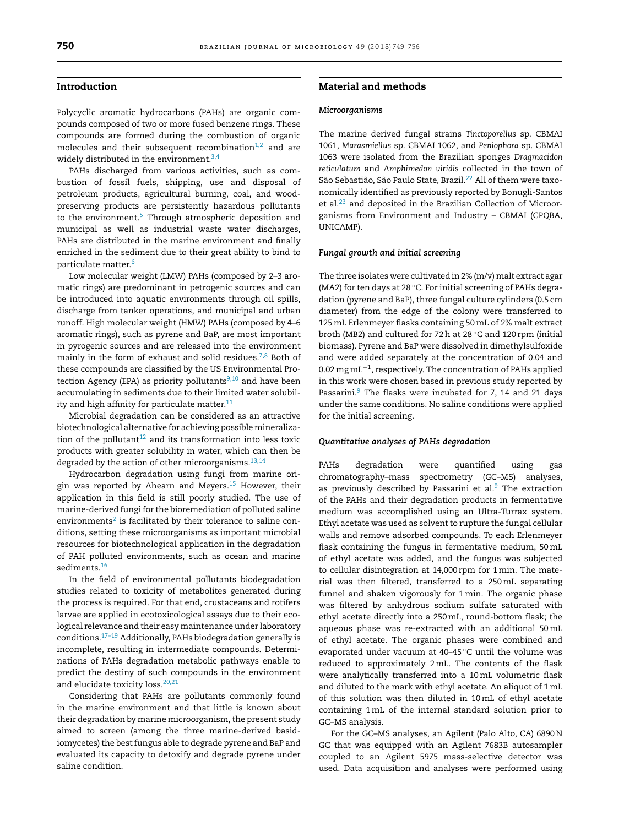# **Introduction**

Polycyclic aromatic hydrocarbons (PAHs) are organic compounds composed of two or more fused benzene rings. These compounds are formed during the combustion of organic molecules and their subsequent recombination<sup>1,2</sup> and are widely distributed in the environment. $3,4$ 

PAHs discharged from various activities, such as combustion of fossil fuels, shipping, use and disposal of petroleum products, agricultural burning, coal, and woodpreserving products are persistently hazardous pollutants to the environment.<sup>[5](#page-6-0)</sup> Through atmospheric deposition and municipal as well as industrial waste water discharges, PAHs are distributed in the marine environment and finally enriched in the sediment due to their great ability to bind to particulate matter[.6](#page-6-0)

Low molecular weight (LMW) PAHs (composed by 2–3 aromatic rings) are predominant in petrogenic sources and can be introduced into aquatic environments through oil spills, discharge from tanker operations, and municipal and urban runoff. High molecular weight (HMW) PAHs (composed by 4–6 aromatic rings), such as pyrene and BaP, are most important in pyrogenic sources and are released into the environment mainly in the form of exhaust and solid residues.<sup>[7,8](#page-6-0)</sup> Both of these compounds are classified by the US Environmental Protection Agency (EPA) as priority pollutants $9,10$  and have been accumulating in sediments due to their limited water solubility and high affinity for particulate matter. $11$ 

Microbial degradation can be considered as an attractive biotechnological alternative for achieving possible mineralization of the pollutant $12$  and its transformation into less toxic products with greater solubility in water, which can then be degraded by the action of other microorganisms. $^{13,14}$ 

Hydrocarbon degradation using fungi from marine origin was reported by Ahearn and Meyers.<sup>15</sup> However, their application in this field is still poorly studied. The use of marine-derived fungi for the bioremediation of polluted saline environments<sup>2</sup> is facilitated by their tolerance to saline conditions, setting these microorganisms as important microbial resources for biotechnological application in the degradation of PAH polluted environments, such as ocean and marine sediments.<sup>16</sup>

In the field of environmental pollutants biodegradation studies related to toxicity of metabolites generated during the process is required. For that end, crustaceans and rotifers larvae are applied in ecotoxicological assays due to their ecological relevance and their easy maintenance under laboratory conditions.[17–19](#page-7-0) Additionally, PAHs biodegradation generally is incomplete, resulting in intermediate compounds. Determinations of PAHs degradation metabolic pathways enable to predict the destiny of such compounds in the environment and elucidate toxicity loss.<sup>[20,21](#page-7-0)</sup>

Considering that PAHs are pollutants commonly found in the marine environment and that little is known about their degradation by marine microorganism, the present study aimed to screen (among the three marine-derived basidiomycetes) the best fungus able to degrade pyrene and BaP and evaluated its capacity to detoxify and degrade pyrene under saline condition.

# **Material and methods**

#### *Microorganisms*

The marine derived fungal strains *Tinctoporellus* sp. CBMAI 1061, *Marasmiellus* sp. CBMAI 1062, and *Peniophora* sp. CBMAI 1063 were isolated from the Brazilian sponges *Dragmacidon reticulatum* and *Amphimedon viridis* collected in the town of São Sebastião, São Paulo State, Brazil.<sup>[22](#page-7-0)</sup> All of them were taxonomically identified as previously reported by Bonugli-Santos et al[.23](#page-7-0) and deposited in the Brazilian Collection of Microorganisms from Environment and Industry – CBMAI (CPQBA, UNICAMP).

#### *Fungal growth and initial screening*

The three isolates were cultivated in 2% (m/v) malt extract agar (MA2) for ten days at 28 °C. For initial screening of PAHs degradation (pyrene and BaP), three fungal culture cylinders (0.5 cm diameter) from the edge of the colony were transferred to 125mL Erlenmeyer flasks containing 50mL of 2% malt extract broth (MB2) and cultured for 72h at 28 ◦C and 120 rpm (initial biomass). Pyrene and BaP were dissolved in dimethylsulfoxide and were added separately at the concentration of 0.04 and 0.02mg mL−1, respectively. The concentration of PAHs applied in this work were chosen based in previous study reported by Passarini.<sup>[9](#page-6-0)</sup> The flasks were incubated for 7, 14 and 21 days under the same conditions. No saline conditions were applied for the initial screening.

#### *Quantitative analyses of PAHs degradation*

PAHs degradation were quantified using gas chromatography–mass spectrometry (GC–MS) analyses, as previously described by Passarini et al. $9$  The extraction of the PAHs and their degradation products in fermentative medium was accomplished using an Ultra-Turrax system. Ethyl acetate was used as solvent to rupture the fungal cellular walls and remove adsorbed compounds. To each Erlenmeyer flask containing the fungus in fermentative medium, 50mL of ethyl acetate was added, and the fungus was subjected to cellular disintegration at 14,000 rpm for 1min. The material was then filtered, transferred to a 250mL separating funnel and shaken vigorously for 1min. The organic phase was filtered by anhydrous sodium sulfate saturated with ethyl acetate directly into a 250mL, round-bottom flask; the aqueous phase was re-extracted with an additional 50mL of ethyl acetate. The organic phases were combined and evaporated under vacuum at 40–45 ◦C until the volume was reduced to approximately 2mL. The contents of the flask were analytically transferred into a 10mL volumetric flask and diluted to the mark with ethyl acetate. An aliquot of 1mL of this solution was then diluted in 10mL of ethyl acetate containing 1mL of the internal standard solution prior to GC–MS analysis.

For the GC–MS analyses, an Agilent (Palo Alto, CA) 6890 N GC that was equipped with an Agilent 7683B autosampler coupled to an Agilent 5975 mass-selective detector was used. Data acquisition and analyses were performed using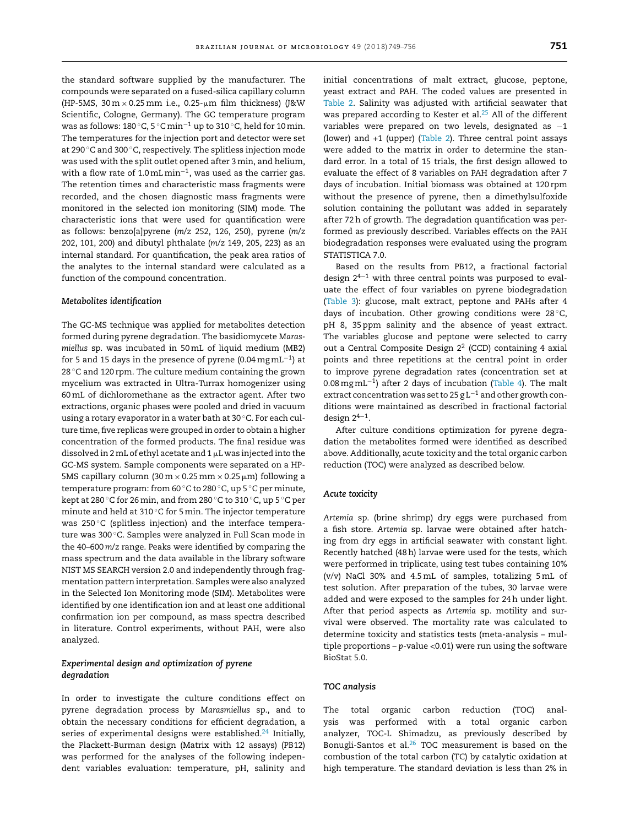the standard software supplied by the manufacturer. The compounds were separated on a fused-silica capillary column (HP-5MS,  $30\,\mathrm{m} \times 0.25\,\mathrm{mm}$  i.e., 0.25- $\mu$ m film thickness) (J&W Scientific, Cologne, Germany). The GC temperature program was as follows: 180 °C, 5 °C min<sup>-1</sup> up to 310 °C, held for 10 min. The temperatures for the injection port and detector were set at 290 ◦C and 300 ◦C, respectively. The splitless injection mode was used with the split outlet opened after 3min, and helium, with a flow rate of 1.0mL min<sup>-1</sup>, was used as the carrier gas. The retention times and characteristic mass fragments were recorded, and the chosen diagnostic mass fragments were monitored in the selected ion monitoring (SIM) mode. The characteristic ions that were used for quantification were as follows: benzo[a]pyrene (*m*/*z* 252, 126, 250), pyrene (*m*/*z* 202, 101, 200) and dibutyl phthalate (*m*/*z* 149, 205, 223) as an internal standard. For quantification, the peak area ratios of the analytes to the internal standard were calculated as a function of the compound concentration.

#### *Metabolites identification*

The GC-MS technique was applied for metabolites detection formed during pyrene degradation. The basidiomycete *Marasmiellus* sp. was incubated in 50mL of liquid medium (MB2) for 5 and 15 days in the presence of pyrene (0.04 mg mL<sup>-1</sup>) at 28  $\degree$ C and 120 rpm. The culture medium containing the grown mycelium was extracted in Ultra-Turrax homogenizer using 60mL of dichloromethane as the extractor agent. After two extractions, organic phases were pooled and dried in vacuum using a rotary evaporator in a water bath at 30 ◦C. For each culture time, five replicas were grouped in order to obtain a higher concentration of the formed products. The final residue was dissolved in 2 mL of ethyl acetate and 1  $\upmu$ L was injected into the GC-MS system. Sample components were separated on a HP-5MS capillary column (30 m  $\times$  0.25 mm  $\times$  0.25  $\mu$ m) following a temperature program: from 60 ◦C to 280 ◦C, up 5 ◦C per minute, kept at 280 ◦C for 26min, and from 280 ◦C to 310 ◦C, up 5 ◦C per minute and held at 310 ◦C for 5min. The injector temperature was 250 °C (splitless injection) and the interface temperature was 300 ℃. Samples were analyzed in Full Scan mode in the 40–600 *m*/*z* range. Peaks were identified by comparing the mass spectrum and the data available in the library software NIST MS SEARCH version 2.0 and independently through fragmentation pattern interpretation. Samples were also analyzed in the Selected Ion Monitoring mode (SIM). Metabolites were identified by one identification ion and at least one additional confirmation ion per compound, as mass spectra described in literature. Control experiments, without PAH, were also analyzed.

# *Experimental design and optimization of pyrene degradation*

In order to investigate the culture conditions effect on pyrene degradation process by *Marasmiellus* sp., and to obtain the necessary conditions for efficient degradation, a series of experimental designs were established. $24$  Initially, the Plackett-Burman design (Matrix with 12 assays) (PB12) was performed for the analyses of the following independent variables evaluation: temperature, pH, salinity and initial concentrations of malt extract, glucose, peptone, yeast extract and PAH. The coded values are presented in [Table](#page-4-0) 2. Salinity was adjusted with artificial seawater that was prepared according to Kester et al.<sup>25</sup> All of the different variables were prepared on two levels, designated as −1 (lower) and +1 (upper) [\(Table](#page-4-0) 2). Three central point assays were added to the matrix in order to determine the standard error. In a total of 15 trials, the first design allowed to evaluate the effect of 8 variables on PAH degradation after 7 days of incubation. Initial biomass was obtained at 120 rpm without the presence of pyrene, then a dimethylsulfoxide solution containing the pollutant was added in separately after 72h of growth. The degradation quantification was performed as previously described. Variables effects on the PAH biodegradation responses were evaluated using the program STATISTICA 7.0.

Based on the results from PB12, a fractional factorial design 24−<sup>1</sup> with three central points was purposed to evaluate the effect of four variables on pyrene biodegradation ([Table](#page-5-0) 3): glucose, malt extract, peptone and PAHs after 4 days of incubation. Other growing conditions were 28 ◦C, pH 8, 35 ppm salinity and the absence of yeast extract. The variables glucose and peptone were selected to carry out a Central Composite Design  $2^2$  (CCD) containing 4 axial points and three repetitions at the central point in order to improve pyrene degradation rates (concentration set at 0.08mg mL−1) after 2 days of incubation [\(Table](#page-5-0) 4). The malt extract concentration was set to 25 g L<sup>-1</sup> and other growth conditions were maintained as described in fractional factorial design  $2^{4-1}$ .

After culture conditions optimization for pyrene degradation the metabolites formed were identified as described above. Additionally, acute toxicity and the total organic carbon reduction (TOC) were analyzed as described below.

#### *Acute toxicity*

*Artemia* sp. (brine shrimp) dry eggs were purchased from a fish store. *Artemia* sp. larvae were obtained after hatching from dry eggs in artificial seawater with constant light. Recently hatched (48h) larvae were used for the tests, which were performed in triplicate, using test tubes containing 10% (v/v) NaCl 30% and 4.5mL of samples, totalizing 5mL of test solution. After preparation of the tubes, 30 larvae were added and were exposed to the samples for 24h under light. After that period aspects as *Artemia* sp. motility and survival were observed. The mortality rate was calculated to determine toxicity and statistics tests (meta-analysis – multiple proportions – *p*-value <0.01) were run using the software BioStat 5.0.

#### *TOC analysis*

The total organic carbon reduction (TOC) analysis was performed with a total organic carbon analyzer, TOC-L Shimadzu, as previously described by Bonugli-Santos et al.<sup>26</sup> TOC measurement is based on the combustion of the total carbon (TC) by catalytic oxidation at high temperature. The standard deviation is less than 2% in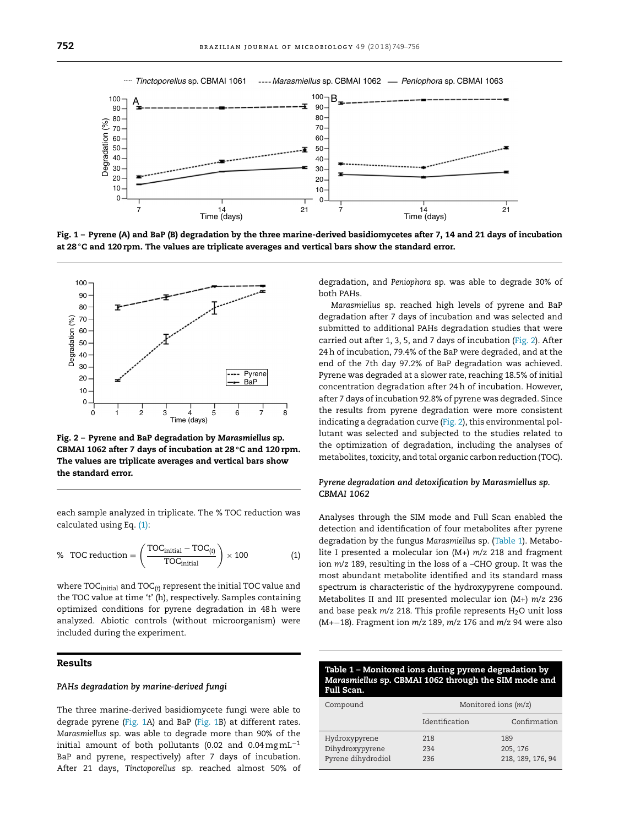

Fig. 1 - Pyrene (A) and BaP (B) degradation by the three marine-derived basidiomycetes after 7, 14 and 21 days of incubation at 28 °C and 120 rpm. The values are triplicate averages and vertical bars show the standard error.



**Fig. 2 – Pyrene and BaP degradation by** *Marasmiellus* **sp. CBMAI 1062 after 7 days of incubation at 28 ◦C and 120 rpm. The values are triplicate averages and vertical bars show the standard error.**

each sample analyzed in triplicate. The % TOC reduction was calculated using Eq. (1):

% TOC reduction = 
$$
\left(\frac{\text{TOC}_{\text{initial}} - \text{TOC}_{(t)}}{\text{TOC}_{\text{initial}}}\right) \times 100
$$
 (1)

where TOC<sub>initial</sub> and TOC<sub>(t)</sub> represent the initial TOC value and the TOC value at time '*t*' (h), respectively. Samples containing optimized conditions for pyrene degradation in 48h were analyzed. Abiotic controls (without microorganism) were included during the experiment.

# **Results**

#### *PAHs degradation by marine-derived fungi*

The three marine-derived basidiomycete fungi were able to degrade pyrene (Fig. 1A) and BaP (Fig. 1B) at different rates. *Marasmiellus* sp. was able to degrade more than 90% of the initial amount of both pollutants (0.02 and 0.04 mgmL<sup>-1</sup> BaP and pyrene, respectively) after 7 days of incubation. After 21 days, *Tinctoporellus* sp. reached almost 50% of degradation, and *Peniophora* sp. was able to degrade 30% of both PAHs.

*Marasmiellus* sp. reached high levels of pyrene and BaP degradation after 7 days of incubation and was selected and submitted to additional PAHs degradation studies that were carried out after 1, 3, 5, and 7 days of incubation (Fig. 2). After 24h of incubation, 79.4% of the BaP were degraded, and at the end of the 7th day 97.2% of BaP degradation was achieved. Pyrene was degraded at a slower rate, reaching 18.5% of initial concentration degradation after 24h of incubation. However, after 7 days of incubation 92.8% of pyrene was degraded. Since the results from pyrene degradation were more consistent indicating a degradation curve (Fig. 2), this environmental pollutant was selected and subjected to the studies related to the optimization of degradation, including the analyses of metabolites, toxicity, and total organic carbon reduction (TOC).

# *Pyrene degradation and detoxification by Marasmiellus sp. CBMAI 1062*

Analyses through the SIM mode and Full Scan enabled the detection and identification of four metabolites after pyrene degradation by the fungus *Marasmiellus* sp. (Table 1). Metabolite I presented a molecular ion (M+) *m*/*z* 218 and fragment ion *m*/*z* 189, resulting in the loss of a –CHO group. It was the most abundant metabolite identified and its standard mass spectrum is characteristic of the hydroxypyrene compound. Metabolites II and III presented molecular ion (M+) *m*/*z* 236 and base peak *m*/*z* 218. This profile represents H<sub>2</sub>O unit loss (M+−18). Fragment ion *m*/*z* 189, *m*/*z* 176 and *m*/*z* 94 were also

| Table 1 – Monitored ions during pyrene degradation by |
|-------------------------------------------------------|
| Marasmiellus sp. CBMAI 1062 through the SIM mode and  |
| Full Scan.                                            |

| Compound           | Monitored ions (m/z) |                   |  |
|--------------------|----------------------|-------------------|--|
|                    | Identification       | Confirmation      |  |
| Hydroxypyrene      | 218                  | 189               |  |
| Dihydroxypyrene    | 234                  | 205, 176          |  |
| Pyrene dihydrodiol | 236                  | 218, 189, 176, 94 |  |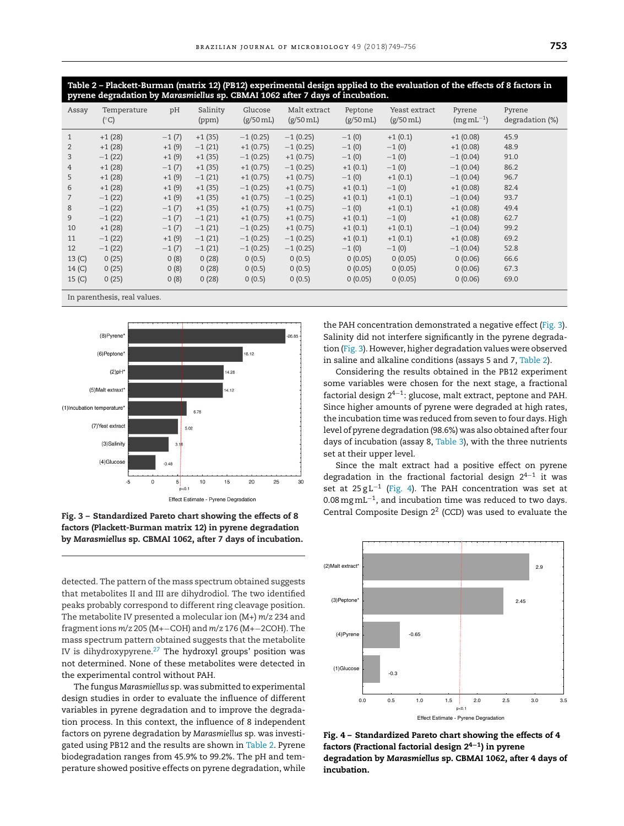<span id="page-4-0"></span>Table 2 - Plackett-Burman (matrix 12) (PB12) experimental design applied to the evaluation of the effects of 8 factors in **pyrene degradation by** *Marasmiellus* **sp. CBMAI 1062 after 7 days of incubation.**

| Assay          | Temperature<br>$(^{\circ}C)$ | pH      | Salinity<br>(ppm) | Glucose<br>$(g/50 \,\mathrm{mL})$ | Malt extract<br>$(g/50 \,\mathrm{mL})$ | Peptone<br>$(g/50 \,\mathrm{mL})$ | Yeast extract<br>$(g/50 \text{ mL})$ | Pyrene<br>$(mgmL^{-1})$ | Pyrene<br>degradation (%) |
|----------------|------------------------------|---------|-------------------|-----------------------------------|----------------------------------------|-----------------------------------|--------------------------------------|-------------------------|---------------------------|
| $\mathbf{1}$   | $+1(28)$                     | $-1(7)$ | $+1(35)$          | $-1(0.25)$                        | $-1(0.25)$                             | $-1(0)$                           | $+1(0.1)$                            | $+1(0.08)$              | 45.9                      |
| $\overline{2}$ | $+1(28)$                     | $+1(9)$ | $-1(21)$          | $+1(0.75)$                        | $-1(0.25)$                             | $-1(0)$                           | $-1(0)$                              | $+1(0.08)$              | 48.9                      |
| 3              | $-1(22)$                     | $+1(9)$ | $+1(35)$          | $-1(0.25)$                        | $+1(0.75)$                             | $-1(0)$                           | $-1(0)$                              | $-1(0.04)$              | 91.0                      |
| 4              | $+1(28)$                     | $-1(7)$ | $+1(35)$          | $+1(0.75)$                        | $-1(0.25)$                             | $+1(0.1)$                         | $-1(0)$                              | $-1(0.04)$              | 86.2                      |
| 5              | $+1(28)$                     | $+1(9)$ | $-1(21)$          | $+1(0.75)$                        | $+1(0.75)$                             | $-1(0)$                           | $+1(0.1)$                            | $-1(0.04)$              | 96.7                      |
| 6              | $+1(28)$                     | $+1(9)$ | $+1(35)$          | $-1(0.25)$                        | $+1(0.75)$                             | $+1(0.1)$                         | $-1(0)$                              | $+1(0.08)$              | 82.4                      |
|                | $-1(22)$                     | $+1(9)$ | $+1(35)$          | $+1(0.75)$                        | $-1(0.25)$                             | $+1(0.1)$                         | $+1(0.1)$                            | $-1(0.04)$              | 93.7                      |
| 8              | $-1(22)$                     | $-1(7)$ | $+1(35)$          | $+1(0.75)$                        | $+1(0.75)$                             | $-1(0)$                           | $+1(0.1)$                            | $+1(0.08)$              | 49.4                      |
| 9              | $-1(22)$                     | $-1(7)$ | $-1(21)$          | $+1(0.75)$                        | $+1(0.75)$                             | $+1(0.1)$                         | $-1(0)$                              | $+1(0.08)$              | 62.7                      |
| 10             | $+1(28)$                     | $-1(7)$ | $-1(21)$          | $-1(0.25)$                        | $+1(0.75)$                             | $+1(0.1)$                         | $+1(0.1)$                            | $-1(0.04)$              | 99.2                      |
| 11             | $-1(22)$                     | $+1(9)$ | $-1(21)$          | $-1(0.25)$                        | $-1(0.25)$                             | $+1(0.1)$                         | $+1(0.1)$                            | $+1(0.08)$              | 69.2                      |
| 12             | $-1(22)$                     | $-1(7)$ | $-1(21)$          | $-1(0.25)$                        | $-1(0.25)$                             | $-1(0)$                           | $-1(0)$                              | $-1(0.04)$              | 52.8                      |
| 13 (C)         | 0(25)                        | 0(8)    | 0(28)             | 0(0.5)                            | 0(0.5)                                 | 0(0.05)                           | 0(0.05)                              | 0(0.06)                 | 66.6                      |
| 14(C)          | 0(25)                        | 0(8)    | 0(28)             | 0(0.5)                            | 0(0.5)                                 | 0(0.05)                           | 0(0.05)                              | 0(0.06)                 | 67.3                      |
| 15 (C)         | 0(25)                        | 0(8)    | 0(28)             | 0(0.5)                            | 0(0.5)                                 | 0(0.05)                           | 0(0.05)                              | 0(0.06)                 | 69.0                      |

In parenthesis, real values.



**Fig. 3 – Standardized Pareto chart showing the effects of 8 factors (Plackett-Burman matrix 12) in pyrene degradation by** *Marasmiellus* **sp. CBMAI 1062, after 7 days of incubation.**

detected. The pattern of the mass spectrum obtained suggests that metabolites II and III are dihydrodiol. The two identified peaks probably correspond to different ring cleavage position. The metabolite IV presented a molecular ion (M+) *m*/*z* 234 and fragmentions *m*/*z* 205 (M+−COH) and *m*/*z* 176 (M+−2COH). The mass spectrum pattern obtained suggests that the metabolite IV is dihydroxypyrene.<sup>[27](#page-7-0)</sup> The hydroxyl groups' position was not determined. None of these metabolites were detected in the experimental control without PAH.

The fungus *Marasmiellus* sp. was submitted to experimental design studies in order to evaluate the influence of different variables in pyrene degradation and to improve the degradation process. In this context, the influence of 8 independent factors on pyrene degradation by *Marasmiellus* sp. was investigated using PB12 and the results are shown in Table 2. Pyrene biodegradation ranges from 45.9% to 99.2%. The pH and temperature showed positive effects on pyrene degradation, while

the PAH concentration demonstrated a negative effect (Fig. 3). Salinity did not interfere significantly in the pyrene degradation (Fig. 3). However, higher degradation values were observed in saline and alkaline conditions (assays 5 and 7, Table 2).

Considering the results obtained in the PB12 experiment some variables were chosen for the next stage, a fractional factorial design  $2^{4-1}$ : glucose, malt extract, peptone and PAH. Since higher amounts of pyrene were degraded at high rates, the incubation time was reduced from seven to four days. High level of pyrene degradation (98.6%) was also obtained after four days of incubation (assay 8, [Table](#page-5-0) 3), with the three nutrients set at their upper level.

Since the malt extract had a positive effect on pyrene degradation in the fractional factorial design 24−<sup>1</sup> it was set at  $25 \text{ g L}^{-1}$  (Fig. 4). The PAH concentration was set at 0.08 mg mL<sup>-1</sup>, and incubation time was reduced to two days. Central Composite Design 22 (CCD) was used to evaluate the



**Fig. 4 – Standardized Pareto chart showing the effects of 4 factors (Fractional factorial design 24−1) in pyrene degradation by** *Marasmiellus* **sp. CBMAI 1062, after 4 days of incubation.**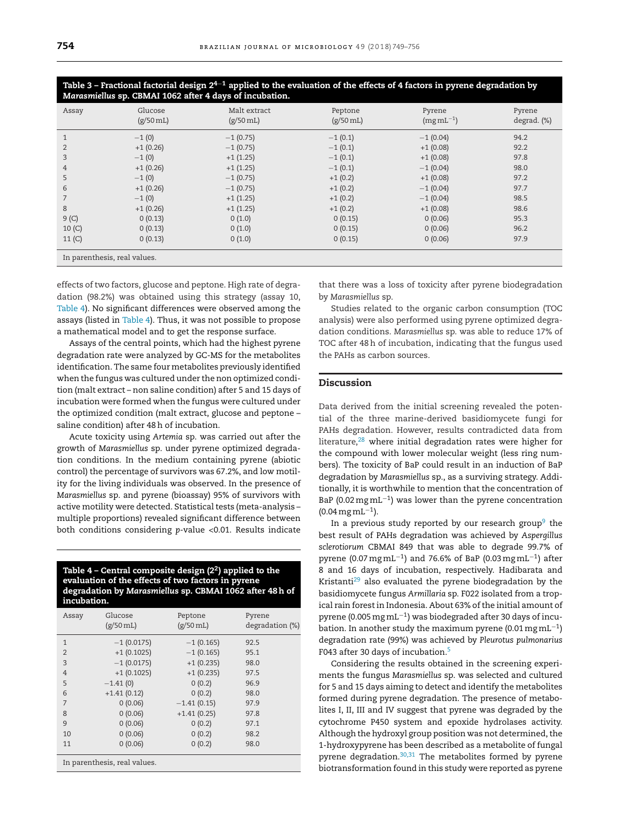## <span id="page-5-0"></span>Table 3 – Fractional factorial design 2<sup>4–1</sup> applied to the evaluation of the effects of 4 factors in pyrene degradation by *Marasmiellus* **sp. CBMAI 1062 after 4 days of incubation.**

| Assay                        | Glucose<br>$(g/50 \text{ mL})$ | Malt extract<br>$(g/50 \text{ mL})$ | Peptone<br>$(g/50 \text{ mL})$ | Pyrene<br>$(mgmL^{-1})$ | Pyrene<br>degrad. (%) |
|------------------------------|--------------------------------|-------------------------------------|--------------------------------|-------------------------|-----------------------|
|                              | $-1(0)$                        | $-1(0.75)$                          | $-1(0.1)$                      | $-1(0.04)$              | 94.2                  |
| $\overline{2}$               | $+1(0.26)$                     | $-1(0.75)$                          | $-1(0.1)$                      | $+1(0.08)$              | 92.2                  |
| 3                            | $-1(0)$                        | $+1(1.25)$                          | $-1(0.1)$                      | $+1(0.08)$              | 97.8                  |
| 4                            | $+1(0.26)$                     | $+1(1.25)$                          | $-1(0.1)$                      | $-1(0.04)$              | 98.0                  |
| 5                            | $-1(0)$                        | $-1(0.75)$                          | $+1(0.2)$                      | $+1(0.08)$              | 97.2                  |
| 6                            | $+1(0.26)$                     | $-1(0.75)$                          | $+1(0.2)$                      | $-1(0.04)$              | 97.7                  |
|                              | $-1(0)$                        | $+1(1.25)$                          | $+1(0.2)$                      | $-1(0.04)$              | 98.5                  |
| 8                            | $+1(0.26)$                     | $+1(1.25)$                          | $+1(0.2)$                      | $+1(0.08)$              | 98.6                  |
| 9 <sup>(C)</sup>             | 0(0.13)                        | 0(1.0)                              | 0(0.15)                        | 0(0.06)                 | 95.3                  |
| 10(C)                        | 0(0.13)                        | 0(1.0)                              | 0(0.15)                        | 0(0.06)                 | 96.2                  |
| 11 <sub>(C)</sub>            | 0(0.13)                        | 0(1.0)                              | 0(0.15)                        | 0(0.06)                 | 97.9                  |
| In parenthesis, real values. |                                |                                     |                                |                         |                       |

effects of two factors, glucose and peptone. High rate of degradation (98.2%) was obtained using this strategy (assay 10, Table 4). No significant differences were observed among the assays (listed in Table 4). Thus, it was not possible to propose a mathematical model and to get the response surface.

Assays of the central points, which had the highest pyrene degradation rate were analyzed by GC-MS for the metabolites identification. The same four metabolites previously identified when the fungus was cultured under the non optimized condition (malt extract – non saline condition) after 5 and 15 days of incubation were formed when the fungus were cultured under the optimized condition (malt extract, glucose and peptone – saline condition) after 48h of incubation.

Acute toxicity using *Artemia* sp. was carried out after the growth of *Marasmiellus* sp. under pyrene optimized degradation conditions. In the medium containing pyrene (abiotic control) the percentage of survivors was 67.2%, and low motility for the living individuals was observed. In the presence of *Marasmiellus* sp. and pyrene (bioassay) 95% of survivors with active motility were detected. Statistical tests (meta-analysis – multiple proportions) revealed significant difference between both conditions considering *p*-value <0.01. Results indicate

**Table 4 – Central composite design (22) applied to the evaluation of the effects of two factors in pyrene degradation by** *Marasmiellus* **sp. CBMAI 1062 after 48h of incubation.**

| Assay                        | Glucose<br>$(g/50 \,\mathrm{mL})$ | Peptone<br>$(g/50 \text{ mL})$ | Pyrene<br>degradation (%) |  |
|------------------------------|-----------------------------------|--------------------------------|---------------------------|--|
| 1                            | $-1$ (0.0175)                     | $-1(0.165)$                    | 92.5                      |  |
| $\overline{2}$               | $+1$ (0.1025)                     | $-1$ (0.165)                   | 95.1                      |  |
| 3                            | $-1$ (0.0175)                     | $+1$ (0.235)                   | 98.0                      |  |
| 4                            | $+1$ (0.1025)                     | $+1$ (0.235)                   | 97.5                      |  |
| 5                            | $-1.41(0)$                        | 0(0.2)                         | 96.9                      |  |
| 6                            | $+1.41(0.12)$                     | 0(0.2)                         | 98.0                      |  |
| 7                            | 0(0.06)                           | $-1.41(0.15)$                  | 97.9                      |  |
| 8                            | 0(0.06)                           | $+1.41(0.25)$                  | 97.8                      |  |
| 9                            | 0(0.06)                           | 0(0.2)                         | 97.1                      |  |
| 10                           | 0(0.06)                           | 0(0.2)                         | 98.2                      |  |
| 11                           | 0(0.06)                           | 0(0.2)                         | 98.0                      |  |
| In parenthesis, real values. |                                   |                                |                           |  |

that there was a loss of toxicity after pyrene biodegradation by *Marasmiellus* sp.

Studies related to the organic carbon consumption (TOC analysis) were also performed using pyrene optimized degradation conditions. *Marasmiellus* sp. was able to reduce 17% of TOC after 48h of incubation, indicating that the fungus used the PAHs as carbon sources.

# **Discussion**

Data derived from the initial screening revealed the potential of the three marine-derived basidiomycete fungi for PAHs degradation. However, results contradicted data from literature,<sup>[28](#page-7-0)</sup> where initial degradation rates were higher for the compound with lower molecular weight (less ring numbers). The toxicity of BaP could result in an induction of BaP degradation by *Marasmiellus* sp., as a surviving strategy. Additionally, it is worthwhile to mention that the concentration of BaP (0.02 mg mL<sup>-1</sup>) was lower than the pyrene concentration  $(0.04 \,\mathrm{mg\,mL^{-1}}).$ 

In a previous study reported by our research group<sup>9</sup> the best result of PAHs degradation was achieved by *Aspergillus sclerotiorum* CBMAI 849 that was able to degrade 99.7% of pyrene (0.07 mg mL<sup>-1</sup>) and 76.6% of BaP (0.03 mg mL<sup>-1</sup>) after 8 and 16 days of incubation, respectively. Hadibarata and Kristanti<sup>29</sup> also evaluated the pyrene biodegradation by the basidiomycete fungus *Armillaria* sp. F022 isolated from a tropical rain forest in Indonesia. About 63% of the initial amount of pyrene (0.005mg mL−1) was biodegraded after 30 days of incubation. In another study the maximum pyrene (0.01 mg mL<sup>-1</sup>) degradation rate (99%) was achieved by *Pleurotus pulmonarius* F043 after 30 days of incubation[.5](#page-6-0)

Considering the results obtained in the screening experiments the fungus *Marasmiellus* sp. was selected and cultured for 5 and 15 days aiming to detect and identify the metabolites formed during pyrene degradation. The presence of metabolites I, II, III and IV suggest that pyrene was degraded by the cytochrome P450 system and epoxide hydrolases activity. Although the hydroxyl group position was not determined, the 1-hydroxypyrene has been described as a metabolite of fungal pyrene degradation[.30,31](#page-7-0) The metabolites formed by pyrene biotransformation found in this study were reported as pyrene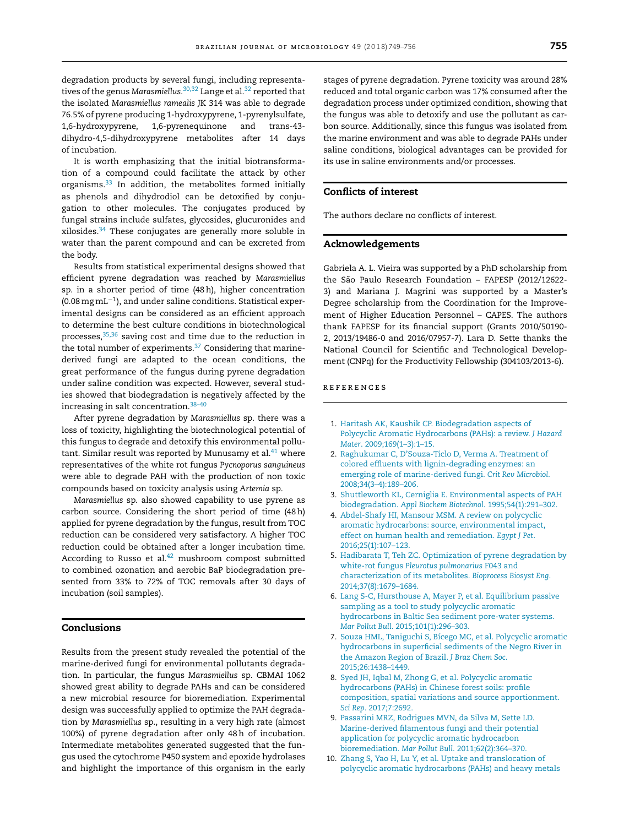<span id="page-6-0"></span>degradation products by several fungi, including representatives of the genus *Marasmiellus.*[30,32](#page-7-0) Lange et al[.32](#page-7-0) reported that the isolated *Marasmiellus ramealis* JK 314 was able to degrade 76.5% of pyrene producing 1-hydroxypyrene, 1-pyrenylsulfate, 1,6-hydroxypyrene, 1,6-pyrenequinone and trans-43 dihydro-4,5-dihydroxypyrene metabolites after 14 days of incubation.

It is worth emphasizing that the initial biotransformation of a compound could facilitate the attack by other organisms.[33](#page-7-0) In addition, the metabolites formed initially as phenols and dihydrodiol can be detoxified by conjugation to other molecules. The conjugates produced by fungal strains include sulfates, glycosides, glucuronides and xilosides.[34](#page-7-0) These conjugates are generally more soluble in water than the parent compound and can be excreted from the body.

Results from statistical experimental designs showed that efficient pyrene degradation was reached by *Marasmiellus* sp. in a shorter period of time (48h), higher concentration (0.08mg mL−1), and under saline conditions. Statistical experimental designs can be considered as an efficient approach to determine the best culture conditions in biotechnological processes, <sup>35,36</sup> saving cost and time due to the reduction in the total number of experiments.<sup>37</sup> Considering that marinederived fungi are adapted to the ocean conditions, the great performance of the fungus during pyrene degradation under saline condition was expected. However, several studies showed that biodegradation is negatively affected by the increasing in salt concentration.[38–40](#page-7-0)

After pyrene degradation by *Marasmiellus* sp. there was a loss of toxicity, highlighting the biotechnological potential of this fungus to degrade and detoxify this environmental pollutant. Similar result was reported by Munusamy et al. $41$  where representatives of the white rot fungus *Pycnoporus sanguineus* were able to degrade PAH with the production of non toxic compounds based on toxicity analysis using *Artemia* sp.

*Marasmiellus* sp. also showed capability to use pyrene as carbon source. Considering the short period of time (48h) applied for pyrene degradation by the fungus, result from TOC reduction can be considered very satisfactory. A higher TOC reduction could be obtained after a longer incubation time. According to Russo et al. $42$  mushroom compost submitted to combined ozonation and aerobic BaP biodegradation presented from 33% to 72% of TOC removals after 30 days of incubation (soil samples).

## **Conclusions**

Results from the present study revealed the potential of the marine-derived fungi for environmental pollutants degradation. In particular, the fungus *Marasmiellus* sp. CBMAI 1062 showed great ability to degrade PAHs and can be considered a new microbial resource for bioremediation. Experimental design was successfully applied to optimize the PAH degradation by *Marasmiellus* sp., resulting in a very high rate (almost 100%) of pyrene degradation after only 48h of incubation. Intermediate metabolites generated suggested that the fungus used the cytochrome P450 system and epoxide hydrolases and highlight the importance of this organism in the early stages of pyrene degradation. Pyrene toxicity was around 28% reduced and total organic carbon was 17% consumed after the degradation process under optimized condition, showing that the fungus was able to detoxify and use the pollutant as carbon source. Additionally, since this fungus was isolated from the marine environment and was able to degrade PAHs under saline conditions, biological advantages can be provided for its use in saline environments and/or processes.

# **Conflicts of interest**

The authors declare no conflicts of interest.

# **Acknowledgements**

Gabriela A. L. Vieira was supported by a PhD scholarship from the São Paulo Research Foundation – FAPESP (2012/12622- 3) and Mariana J. Magrini was supported by a Master's Degree scholarship from the Coordination for the Improvement of Higher Education Personnel – CAPES. The authors thank FAPESP for its financial support (Grants 2010/50190- 2, 2013/19486-0 and 2016/07957-7). Lara D. Sette thanks the National Council for Scientific and Technological Development (CNPq) for the Productivity Fellowship (304103/2013-6).

# **REFERENCES**

- 1. [Haritash](http://refhub.elsevier.com/S1517-8382(17)31087-0/sbref0215) [AK,](http://refhub.elsevier.com/S1517-8382(17)31087-0/sbref0215) [Kaushik](http://refhub.elsevier.com/S1517-8382(17)31087-0/sbref0215) [CP.](http://refhub.elsevier.com/S1517-8382(17)31087-0/sbref0215) [Biodegradation](http://refhub.elsevier.com/S1517-8382(17)31087-0/sbref0215) [aspects](http://refhub.elsevier.com/S1517-8382(17)31087-0/sbref0215) [of](http://refhub.elsevier.com/S1517-8382(17)31087-0/sbref0215) [Polycyclic](http://refhub.elsevier.com/S1517-8382(17)31087-0/sbref0215) [Aromatic](http://refhub.elsevier.com/S1517-8382(17)31087-0/sbref0215) [Hydrocarbons](http://refhub.elsevier.com/S1517-8382(17)31087-0/sbref0215) [\(PAHs\):](http://refhub.elsevier.com/S1517-8382(17)31087-0/sbref0215) [a](http://refhub.elsevier.com/S1517-8382(17)31087-0/sbref0215) [review.](http://refhub.elsevier.com/S1517-8382(17)31087-0/sbref0215) *[J](http://refhub.elsevier.com/S1517-8382(17)31087-0/sbref0215) [Hazard](http://refhub.elsevier.com/S1517-8382(17)31087-0/sbref0215) [Mater](http://refhub.elsevier.com/S1517-8382(17)31087-0/sbref0215)*[.](http://refhub.elsevier.com/S1517-8382(17)31087-0/sbref0215) [2009;169\(1](http://refhub.elsevier.com/S1517-8382(17)31087-0/sbref0215)–[3\):1](http://refhub.elsevier.com/S1517-8382(17)31087-0/sbref0215)–[15.](http://refhub.elsevier.com/S1517-8382(17)31087-0/sbref0215)
- 2. [Raghukumar](http://refhub.elsevier.com/S1517-8382(17)31087-0/sbref0220) [C,](http://refhub.elsevier.com/S1517-8382(17)31087-0/sbref0220) [D'Souza-Ticlo](http://refhub.elsevier.com/S1517-8382(17)31087-0/sbref0220) [D,](http://refhub.elsevier.com/S1517-8382(17)31087-0/sbref0220) [Verma](http://refhub.elsevier.com/S1517-8382(17)31087-0/sbref0220) [A.](http://refhub.elsevier.com/S1517-8382(17)31087-0/sbref0220) [Treatment](http://refhub.elsevier.com/S1517-8382(17)31087-0/sbref0220) [of](http://refhub.elsevier.com/S1517-8382(17)31087-0/sbref0220) [colored](http://refhub.elsevier.com/S1517-8382(17)31087-0/sbref0220) [effluents](http://refhub.elsevier.com/S1517-8382(17)31087-0/sbref0220) [with](http://refhub.elsevier.com/S1517-8382(17)31087-0/sbref0220) [lignin-degrading](http://refhub.elsevier.com/S1517-8382(17)31087-0/sbref0220) [enzymes:](http://refhub.elsevier.com/S1517-8382(17)31087-0/sbref0220) [an](http://refhub.elsevier.com/S1517-8382(17)31087-0/sbref0220) [emerging](http://refhub.elsevier.com/S1517-8382(17)31087-0/sbref0220) [role](http://refhub.elsevier.com/S1517-8382(17)31087-0/sbref0220) [of](http://refhub.elsevier.com/S1517-8382(17)31087-0/sbref0220) [marine-derived](http://refhub.elsevier.com/S1517-8382(17)31087-0/sbref0220) [fungi.](http://refhub.elsevier.com/S1517-8382(17)31087-0/sbref0220) *[Crit](http://refhub.elsevier.com/S1517-8382(17)31087-0/sbref0220) [Rev](http://refhub.elsevier.com/S1517-8382(17)31087-0/sbref0220) [Microbiol](http://refhub.elsevier.com/S1517-8382(17)31087-0/sbref0220)*[.](http://refhub.elsevier.com/S1517-8382(17)31087-0/sbref0220) [2008;34\(3](http://refhub.elsevier.com/S1517-8382(17)31087-0/sbref0220)–[4\):189](http://refhub.elsevier.com/S1517-8382(17)31087-0/sbref0220)–[206.](http://refhub.elsevier.com/S1517-8382(17)31087-0/sbref0220)
- 3. [Shuttleworth](http://refhub.elsevier.com/S1517-8382(17)31087-0/sbref0225) [KL,](http://refhub.elsevier.com/S1517-8382(17)31087-0/sbref0225) [Cerniglia](http://refhub.elsevier.com/S1517-8382(17)31087-0/sbref0225) [E.](http://refhub.elsevier.com/S1517-8382(17)31087-0/sbref0225) [Environmental](http://refhub.elsevier.com/S1517-8382(17)31087-0/sbref0225) [aspects](http://refhub.elsevier.com/S1517-8382(17)31087-0/sbref0225) [of](http://refhub.elsevier.com/S1517-8382(17)31087-0/sbref0225) [PAH](http://refhub.elsevier.com/S1517-8382(17)31087-0/sbref0225) [biodegradation.](http://refhub.elsevier.com/S1517-8382(17)31087-0/sbref0225) *[Appl](http://refhub.elsevier.com/S1517-8382(17)31087-0/sbref0225) [Biochem](http://refhub.elsevier.com/S1517-8382(17)31087-0/sbref0225) [Biotechnol](http://refhub.elsevier.com/S1517-8382(17)31087-0/sbref0225)*. [1995;54\(1\):291](http://refhub.elsevier.com/S1517-8382(17)31087-0/sbref0225)–[302.](http://refhub.elsevier.com/S1517-8382(17)31087-0/sbref0225)
- 4. [Abdel-Shafy](http://refhub.elsevier.com/S1517-8382(17)31087-0/sbref0230) [HI,](http://refhub.elsevier.com/S1517-8382(17)31087-0/sbref0230) [Mansour](http://refhub.elsevier.com/S1517-8382(17)31087-0/sbref0230) [MSM.](http://refhub.elsevier.com/S1517-8382(17)31087-0/sbref0230) [A](http://refhub.elsevier.com/S1517-8382(17)31087-0/sbref0230) [review](http://refhub.elsevier.com/S1517-8382(17)31087-0/sbref0230) [on](http://refhub.elsevier.com/S1517-8382(17)31087-0/sbref0230) [polycyclic](http://refhub.elsevier.com/S1517-8382(17)31087-0/sbref0230) [aromatic](http://refhub.elsevier.com/S1517-8382(17)31087-0/sbref0230) [hydrocarbons:](http://refhub.elsevier.com/S1517-8382(17)31087-0/sbref0230) [source,](http://refhub.elsevier.com/S1517-8382(17)31087-0/sbref0230) [environmental](http://refhub.elsevier.com/S1517-8382(17)31087-0/sbref0230) [impact,](http://refhub.elsevier.com/S1517-8382(17)31087-0/sbref0230) [effect](http://refhub.elsevier.com/S1517-8382(17)31087-0/sbref0230) [on](http://refhub.elsevier.com/S1517-8382(17)31087-0/sbref0230) [human](http://refhub.elsevier.com/S1517-8382(17)31087-0/sbref0230) [health](http://refhub.elsevier.com/S1517-8382(17)31087-0/sbref0230) [and](http://refhub.elsevier.com/S1517-8382(17)31087-0/sbref0230) [remediation.](http://refhub.elsevier.com/S1517-8382(17)31087-0/sbref0230) *[Egypt](http://refhub.elsevier.com/S1517-8382(17)31087-0/sbref0230) [J](http://refhub.elsevier.com/S1517-8382(17)31087-0/sbref0230) [Pet](http://refhub.elsevier.com/S1517-8382(17)31087-0/sbref0230)*[.](http://refhub.elsevier.com/S1517-8382(17)31087-0/sbref0230) [2016;25\(1\):107](http://refhub.elsevier.com/S1517-8382(17)31087-0/sbref0230)–[123.](http://refhub.elsevier.com/S1517-8382(17)31087-0/sbref0230)
- 5. [Hadibarata](http://refhub.elsevier.com/S1517-8382(17)31087-0/sbref0235) [T,](http://refhub.elsevier.com/S1517-8382(17)31087-0/sbref0235) [Teh](http://refhub.elsevier.com/S1517-8382(17)31087-0/sbref0235) [ZC.](http://refhub.elsevier.com/S1517-8382(17)31087-0/sbref0235) [Optimization](http://refhub.elsevier.com/S1517-8382(17)31087-0/sbref0235) [of](http://refhub.elsevier.com/S1517-8382(17)31087-0/sbref0235) [pyrene](http://refhub.elsevier.com/S1517-8382(17)31087-0/sbref0235) [degradation](http://refhub.elsevier.com/S1517-8382(17)31087-0/sbref0235) [by](http://refhub.elsevier.com/S1517-8382(17)31087-0/sbref0235) [white-rot](http://refhub.elsevier.com/S1517-8382(17)31087-0/sbref0235) [fungus](http://refhub.elsevier.com/S1517-8382(17)31087-0/sbref0235) *[Pleurotus](http://refhub.elsevier.com/S1517-8382(17)31087-0/sbref0235) [pulmonarius](http://refhub.elsevier.com/S1517-8382(17)31087-0/sbref0235)* [F043](http://refhub.elsevier.com/S1517-8382(17)31087-0/sbref0235) [and](http://refhub.elsevier.com/S1517-8382(17)31087-0/sbref0235) [characterization](http://refhub.elsevier.com/S1517-8382(17)31087-0/sbref0235) [of](http://refhub.elsevier.com/S1517-8382(17)31087-0/sbref0235) [its](http://refhub.elsevier.com/S1517-8382(17)31087-0/sbref0235) [metabolites.](http://refhub.elsevier.com/S1517-8382(17)31087-0/sbref0235) *[Bioprocess](http://refhub.elsevier.com/S1517-8382(17)31087-0/sbref0235) [Biosyst](http://refhub.elsevier.com/S1517-8382(17)31087-0/sbref0235) [Eng](http://refhub.elsevier.com/S1517-8382(17)31087-0/sbref0235)*[.](http://refhub.elsevier.com/S1517-8382(17)31087-0/sbref0235) [2014;37\(8\):1679–1684.](http://refhub.elsevier.com/S1517-8382(17)31087-0/sbref0235)
- 6. [Lang](http://refhub.elsevier.com/S1517-8382(17)31087-0/sbref0240) [S-C,](http://refhub.elsevier.com/S1517-8382(17)31087-0/sbref0240) [Hursthouse](http://refhub.elsevier.com/S1517-8382(17)31087-0/sbref0240) [A,](http://refhub.elsevier.com/S1517-8382(17)31087-0/sbref0240) [Mayer](http://refhub.elsevier.com/S1517-8382(17)31087-0/sbref0240) [P,](http://refhub.elsevier.com/S1517-8382(17)31087-0/sbref0240) [et](http://refhub.elsevier.com/S1517-8382(17)31087-0/sbref0240) [al.](http://refhub.elsevier.com/S1517-8382(17)31087-0/sbref0240) [Equilibrium](http://refhub.elsevier.com/S1517-8382(17)31087-0/sbref0240) [passive](http://refhub.elsevier.com/S1517-8382(17)31087-0/sbref0240) [sampling](http://refhub.elsevier.com/S1517-8382(17)31087-0/sbref0240) [as](http://refhub.elsevier.com/S1517-8382(17)31087-0/sbref0240) [a](http://refhub.elsevier.com/S1517-8382(17)31087-0/sbref0240) [tool](http://refhub.elsevier.com/S1517-8382(17)31087-0/sbref0240) [to](http://refhub.elsevier.com/S1517-8382(17)31087-0/sbref0240) [study](http://refhub.elsevier.com/S1517-8382(17)31087-0/sbref0240) [polycyclic](http://refhub.elsevier.com/S1517-8382(17)31087-0/sbref0240) [aromatic](http://refhub.elsevier.com/S1517-8382(17)31087-0/sbref0240) [hydrocarbons](http://refhub.elsevier.com/S1517-8382(17)31087-0/sbref0240) [in](http://refhub.elsevier.com/S1517-8382(17)31087-0/sbref0240) [Baltic](http://refhub.elsevier.com/S1517-8382(17)31087-0/sbref0240) [Sea](http://refhub.elsevier.com/S1517-8382(17)31087-0/sbref0240) [sediment](http://refhub.elsevier.com/S1517-8382(17)31087-0/sbref0240) [pore-water](http://refhub.elsevier.com/S1517-8382(17)31087-0/sbref0240) [systems.](http://refhub.elsevier.com/S1517-8382(17)31087-0/sbref0240) *[Mar](http://refhub.elsevier.com/S1517-8382(17)31087-0/sbref0240) [Pollut](http://refhub.elsevier.com/S1517-8382(17)31087-0/sbref0240) [Bull](http://refhub.elsevier.com/S1517-8382(17)31087-0/sbref0240)*[.](http://refhub.elsevier.com/S1517-8382(17)31087-0/sbref0240) [2015;101\(1\):296–303.](http://refhub.elsevier.com/S1517-8382(17)31087-0/sbref0240)
- 7. [Souza](http://refhub.elsevier.com/S1517-8382(17)31087-0/sbref0245) [HML,](http://refhub.elsevier.com/S1517-8382(17)31087-0/sbref0245) [Taniguchi](http://refhub.elsevier.com/S1517-8382(17)31087-0/sbref0245) [S,](http://refhub.elsevier.com/S1517-8382(17)31087-0/sbref0245) [Bícego](http://refhub.elsevier.com/S1517-8382(17)31087-0/sbref0245) [MC,](http://refhub.elsevier.com/S1517-8382(17)31087-0/sbref0245) [et](http://refhub.elsevier.com/S1517-8382(17)31087-0/sbref0245) [al.](http://refhub.elsevier.com/S1517-8382(17)31087-0/sbref0245) [Polycyclic](http://refhub.elsevier.com/S1517-8382(17)31087-0/sbref0245) [aromatic](http://refhub.elsevier.com/S1517-8382(17)31087-0/sbref0245) [hydrocarbons](http://refhub.elsevier.com/S1517-8382(17)31087-0/sbref0245) [in](http://refhub.elsevier.com/S1517-8382(17)31087-0/sbref0245) [superficial](http://refhub.elsevier.com/S1517-8382(17)31087-0/sbref0245) [sediments](http://refhub.elsevier.com/S1517-8382(17)31087-0/sbref0245) [of](http://refhub.elsevier.com/S1517-8382(17)31087-0/sbref0245) [the](http://refhub.elsevier.com/S1517-8382(17)31087-0/sbref0245) [Negro](http://refhub.elsevier.com/S1517-8382(17)31087-0/sbref0245) [River](http://refhub.elsevier.com/S1517-8382(17)31087-0/sbref0245) [in](http://refhub.elsevier.com/S1517-8382(17)31087-0/sbref0245) [the](http://refhub.elsevier.com/S1517-8382(17)31087-0/sbref0245) [Amazon](http://refhub.elsevier.com/S1517-8382(17)31087-0/sbref0245) [Region](http://refhub.elsevier.com/S1517-8382(17)31087-0/sbref0245) [of](http://refhub.elsevier.com/S1517-8382(17)31087-0/sbref0245) [Brazil.](http://refhub.elsevier.com/S1517-8382(17)31087-0/sbref0245) *[J](http://refhub.elsevier.com/S1517-8382(17)31087-0/sbref0245) [Braz](http://refhub.elsevier.com/S1517-8382(17)31087-0/sbref0245) [Chem](http://refhub.elsevier.com/S1517-8382(17)31087-0/sbref0245) [Soc](http://refhub.elsevier.com/S1517-8382(17)31087-0/sbref0245)*. [2015;26:1438–1449.](http://refhub.elsevier.com/S1517-8382(17)31087-0/sbref0245)
- 8. [Syed](http://refhub.elsevier.com/S1517-8382(17)31087-0/sbref0250) [JH,](http://refhub.elsevier.com/S1517-8382(17)31087-0/sbref0250) [Iqbal](http://refhub.elsevier.com/S1517-8382(17)31087-0/sbref0250) [M,](http://refhub.elsevier.com/S1517-8382(17)31087-0/sbref0250) [Zhong](http://refhub.elsevier.com/S1517-8382(17)31087-0/sbref0250) [G,](http://refhub.elsevier.com/S1517-8382(17)31087-0/sbref0250) [et](http://refhub.elsevier.com/S1517-8382(17)31087-0/sbref0250) [al.](http://refhub.elsevier.com/S1517-8382(17)31087-0/sbref0250) [Polycyclic](http://refhub.elsevier.com/S1517-8382(17)31087-0/sbref0250) [aromatic](http://refhub.elsevier.com/S1517-8382(17)31087-0/sbref0250) [hydrocarbons](http://refhub.elsevier.com/S1517-8382(17)31087-0/sbref0250) [\(PAHs\)](http://refhub.elsevier.com/S1517-8382(17)31087-0/sbref0250) [in](http://refhub.elsevier.com/S1517-8382(17)31087-0/sbref0250) [Chinese](http://refhub.elsevier.com/S1517-8382(17)31087-0/sbref0250) [forest](http://refhub.elsevier.com/S1517-8382(17)31087-0/sbref0250) [soils:](http://refhub.elsevier.com/S1517-8382(17)31087-0/sbref0250) [profile](http://refhub.elsevier.com/S1517-8382(17)31087-0/sbref0250) [composition,](http://refhub.elsevier.com/S1517-8382(17)31087-0/sbref0250) [spatial](http://refhub.elsevier.com/S1517-8382(17)31087-0/sbref0250) [variations](http://refhub.elsevier.com/S1517-8382(17)31087-0/sbref0250) [and](http://refhub.elsevier.com/S1517-8382(17)31087-0/sbref0250) [source](http://refhub.elsevier.com/S1517-8382(17)31087-0/sbref0250) [apportionment.](http://refhub.elsevier.com/S1517-8382(17)31087-0/sbref0250) *[Sci](http://refhub.elsevier.com/S1517-8382(17)31087-0/sbref0250) [Rep](http://refhub.elsevier.com/S1517-8382(17)31087-0/sbref0250)*[.](http://refhub.elsevier.com/S1517-8382(17)31087-0/sbref0250) [2017;7:2692.](http://refhub.elsevier.com/S1517-8382(17)31087-0/sbref0250)
- 9. [Passarini](http://refhub.elsevier.com/S1517-8382(17)31087-0/sbref0255) [MRZ,](http://refhub.elsevier.com/S1517-8382(17)31087-0/sbref0255) [Rodrigues](http://refhub.elsevier.com/S1517-8382(17)31087-0/sbref0255) [MVN,](http://refhub.elsevier.com/S1517-8382(17)31087-0/sbref0255) [da](http://refhub.elsevier.com/S1517-8382(17)31087-0/sbref0255) [Silva](http://refhub.elsevier.com/S1517-8382(17)31087-0/sbref0255) [M,](http://refhub.elsevier.com/S1517-8382(17)31087-0/sbref0255) [Sette](http://refhub.elsevier.com/S1517-8382(17)31087-0/sbref0255) [LD.](http://refhub.elsevier.com/S1517-8382(17)31087-0/sbref0255) [Marine-derived](http://refhub.elsevier.com/S1517-8382(17)31087-0/sbref0255) [filamentous](http://refhub.elsevier.com/S1517-8382(17)31087-0/sbref0255) [fungi](http://refhub.elsevier.com/S1517-8382(17)31087-0/sbref0255) [and](http://refhub.elsevier.com/S1517-8382(17)31087-0/sbref0255) [their](http://refhub.elsevier.com/S1517-8382(17)31087-0/sbref0255) [potential](http://refhub.elsevier.com/S1517-8382(17)31087-0/sbref0255) [application](http://refhub.elsevier.com/S1517-8382(17)31087-0/sbref0255) [for](http://refhub.elsevier.com/S1517-8382(17)31087-0/sbref0255) [polycyclic](http://refhub.elsevier.com/S1517-8382(17)31087-0/sbref0255) [aromatic](http://refhub.elsevier.com/S1517-8382(17)31087-0/sbref0255) [hydrocarbon](http://refhub.elsevier.com/S1517-8382(17)31087-0/sbref0255) [bioremediation.](http://refhub.elsevier.com/S1517-8382(17)31087-0/sbref0255) *[Mar](http://refhub.elsevier.com/S1517-8382(17)31087-0/sbref0255) [Pollut](http://refhub.elsevier.com/S1517-8382(17)31087-0/sbref0255) [Bull](http://refhub.elsevier.com/S1517-8382(17)31087-0/sbref0255)*[.](http://refhub.elsevier.com/S1517-8382(17)31087-0/sbref0255) [2011;62\(2\):364](http://refhub.elsevier.com/S1517-8382(17)31087-0/sbref0255)–[370.](http://refhub.elsevier.com/S1517-8382(17)31087-0/sbref0255)
- 10. [Zhang](http://refhub.elsevier.com/S1517-8382(17)31087-0/sbref0260) [S,](http://refhub.elsevier.com/S1517-8382(17)31087-0/sbref0260) [Yao](http://refhub.elsevier.com/S1517-8382(17)31087-0/sbref0260) [H,](http://refhub.elsevier.com/S1517-8382(17)31087-0/sbref0260) [Lu](http://refhub.elsevier.com/S1517-8382(17)31087-0/sbref0260) [Y,](http://refhub.elsevier.com/S1517-8382(17)31087-0/sbref0260) [et](http://refhub.elsevier.com/S1517-8382(17)31087-0/sbref0260) [al.](http://refhub.elsevier.com/S1517-8382(17)31087-0/sbref0260) [Uptake](http://refhub.elsevier.com/S1517-8382(17)31087-0/sbref0260) [and](http://refhub.elsevier.com/S1517-8382(17)31087-0/sbref0260) [translocation](http://refhub.elsevier.com/S1517-8382(17)31087-0/sbref0260) [of](http://refhub.elsevier.com/S1517-8382(17)31087-0/sbref0260) [polycyclic](http://refhub.elsevier.com/S1517-8382(17)31087-0/sbref0260) [aromatic](http://refhub.elsevier.com/S1517-8382(17)31087-0/sbref0260) [hydrocarbons](http://refhub.elsevier.com/S1517-8382(17)31087-0/sbref0260) [\(PAHs\)](http://refhub.elsevier.com/S1517-8382(17)31087-0/sbref0260) [and](http://refhub.elsevier.com/S1517-8382(17)31087-0/sbref0260) [heavy](http://refhub.elsevier.com/S1517-8382(17)31087-0/sbref0260) [metals](http://refhub.elsevier.com/S1517-8382(17)31087-0/sbref0260)